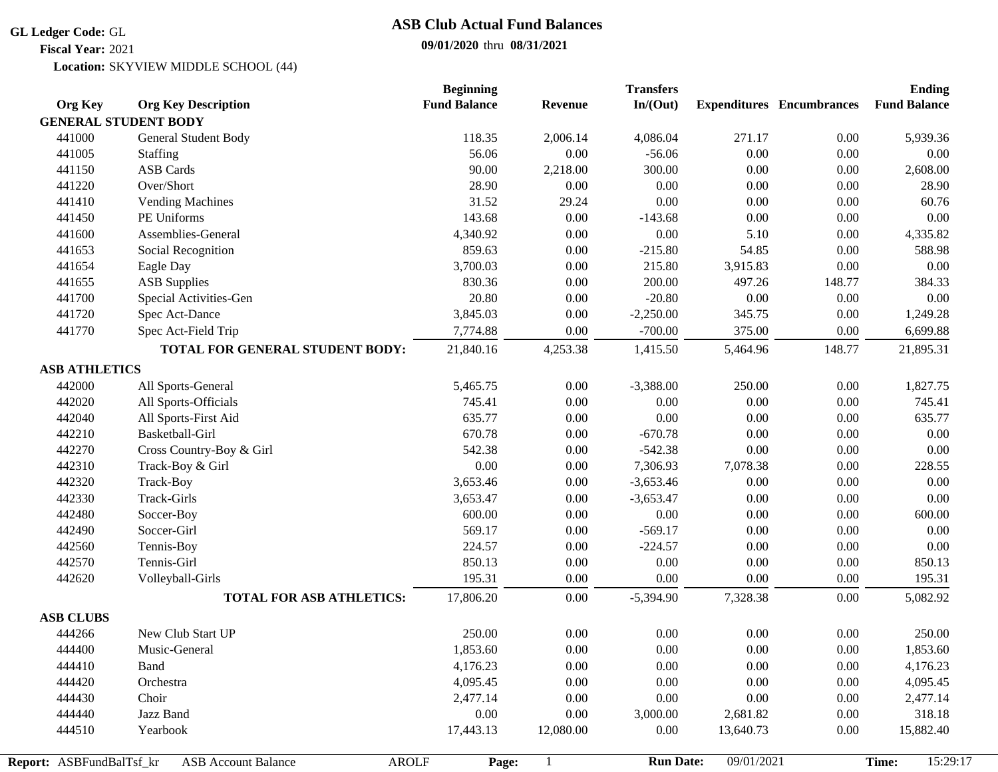#### **GL Ledger Code:** GL

**Fiscal Year:** 2021

# **ASB Club Actual Fund Balances**

## **09/01/2020** thru **08/31/2021**

Location: SKYVIEW MIDDLE SCHOOL (44)

|                          |                                            | <b>Beginning</b>    |                | <b>Transfers</b> |            |                                  | <b>Ending</b>       |
|--------------------------|--------------------------------------------|---------------------|----------------|------------------|------------|----------------------------------|---------------------|
| <b>Org Key</b>           | <b>Org Key Description</b>                 | <b>Fund Balance</b> | <b>Revenue</b> | In/(Out)         |            | <b>Expenditures</b> Encumbrances | <b>Fund Balance</b> |
|                          | <b>GENERAL STUDENT BODY</b>                |                     |                |                  |            |                                  |                     |
| 441000                   | General Student Body                       | 118.35              | 2,006.14       | 4,086.04         | 271.17     | 0.00                             | 5,939.36            |
| 441005                   | Staffing                                   | 56.06               | 0.00           | $-56.06$         | 0.00       | $0.00\,$                         | 0.00                |
| 441150                   | <b>ASB Cards</b>                           | 90.00               | 2,218.00       | 300.00           | $0.00\,$   | 0.00                             | 2,608.00            |
| 441220                   | Over/Short                                 | 28.90               | 0.00           | 0.00             | $0.00\,$   | $0.00\,$                         | 28.90               |
| 441410                   | <b>Vending Machines</b>                    | 31.52               | 29.24          | 0.00             | 0.00       | $0.00\,$                         | 60.76               |
| 441450                   | PE Uniforms                                | 143.68              | 0.00           | $-143.68$        | $0.00\,$   | 0.00                             | 0.00                |
| 441600                   | Assemblies-General                         | 4,340.92            | $0.00\,$       | $0.00\,$         | 5.10       | 0.00                             | 4,335.82            |
| 441653                   | Social Recognition                         | 859.63              | $0.00\,$       | $-215.80$        | 54.85      | 0.00                             | 588.98              |
| 441654                   | Eagle Day                                  | 3,700.03            | 0.00           | 215.80           | 3,915.83   | 0.00                             | 0.00                |
| 441655                   | <b>ASB Supplies</b>                        | 830.36              | 0.00           | 200.00           | 497.26     | 148.77                           | 384.33              |
| 441700                   | Special Activities-Gen                     | 20.80               | 0.00           | $-20.80$         | 0.00       | 0.00                             | 0.00                |
| 441720                   | Spec Act-Dance                             | 3,845.03            | 0.00           | $-2,250.00$      | 345.75     | $0.00\,$                         | 1,249.28            |
| 441770                   | Spec Act-Field Trip                        | 7,774.88            | 0.00           | $-700.00$        | 375.00     | 0.00                             | 6,699.88            |
|                          | TOTAL FOR GENERAL STUDENT BODY:            | 21,840.16           | 4,253.38       | 1,415.50         | 5,464.96   | 148.77                           | 21,895.31           |
| <b>ASB ATHLETICS</b>     |                                            |                     |                |                  |            |                                  |                     |
| 442000                   | All Sports-General                         | 5,465.75            | 0.00           | $-3,388.00$      | 250.00     | 0.00                             | 1,827.75            |
| 442020                   | All Sports-Officials                       | 745.41              | 0.00           | 0.00             | 0.00       | 0.00                             | 745.41              |
| 442040                   | All Sports-First Aid                       | 635.77              | 0.00           | 0.00             | $0.00\,$   | 0.00                             | 635.77              |
| 442210                   | Basketball-Girl                            | 670.78              | 0.00           | $-670.78$        | 0.00       | 0.00                             | 0.00                |
| 442270                   | Cross Country-Boy & Girl                   | 542.38              | 0.00           | $-542.38$        | $0.00\,$   | $0.00\,$                         | 0.00                |
| 442310                   | Track-Boy & Girl                           | 0.00                | 0.00           | 7,306.93         | 7,078.38   | $0.00\,$                         | 228.55              |
| 442320                   | Track-Boy                                  | 3,653.46            | $0.00\,$       | $-3,653.46$      | 0.00       | $0.00\,$                         | 0.00                |
| 442330                   | Track-Girls                                | 3,653.47            | 0.00           | $-3,653.47$      | $0.00\,$   | 0.00                             | 0.00                |
| 442480                   | Soccer-Boy                                 | 600.00              | $0.00\,$       | $0.00\,$         | $0.00\,$   | $0.00\,$                         | 600.00              |
| 442490                   | Soccer-Girl                                | 569.17              | 0.00           | $-569.17$        | 0.00       | $0.00\,$                         | 0.00                |
| 442560                   | Tennis-Boy                                 | 224.57              | 0.00           | $-224.57$        | $0.00\,$   | $0.00\,$                         | 0.00                |
| 442570                   | Tennis-Girl                                | 850.13              | 0.00           | 0.00             | 0.00       | 0.00                             | 850.13              |
| 442620                   | Volleyball-Girls                           | 195.31              | 0.00           | 0.00             | $0.00\,$   | 0.00                             | 195.31              |
|                          | <b>TOTAL FOR ASB ATHLETICS:</b>            | 17,806.20           | 0.00           | $-5,394.90$      | 7,328.38   | $0.00\,$                         | 5,082.92            |
| <b>ASB CLUBS</b>         |                                            |                     |                |                  |            |                                  |                     |
| 444266                   | New Club Start UP                          | 250.00              | 0.00           | 0.00             | 0.00       | 0.00                             | 250.00              |
| 444400                   | Music-General                              | 1,853.60            | 0.00           | $0.00\,$         | $0.00\,$   | $0.00\,$                         | 1,853.60            |
| 444410                   | Band                                       | 4,176.23            | 0.00           | 0.00             | 0.00       | 0.00                             | 4,176.23            |
| 444420                   | Orchestra                                  | 4,095.45            | 0.00           | 0.00             | $0.00\,$   | 0.00                             | 4,095.45            |
| 444430                   | Choir                                      | 2,477.14            | 0.00           | 0.00             | 0.00       | 0.00                             | 2,477.14            |
| 444440                   | Jazz Band                                  | 0.00                | 0.00           | 3,000.00         | 2,681.82   | 0.00                             | 318.18              |
| 444510                   | Yearbook                                   | 17,443.13           | 12,080.00      | 0.00             | 13,640.73  | 0.00                             | 15,882.40           |
|                          |                                            |                     |                |                  |            |                                  |                     |
| Report: ASBFundBalTsf_kr | <b>AROLF</b><br><b>ASB Account Balance</b> | Page:               |                | <b>Run Date:</b> | 09/01/2021 |                                  | 15:29:17<br>Time:   |